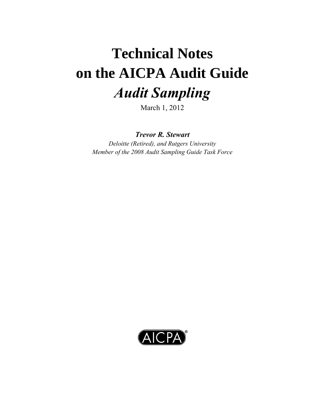# **Technical Notes on the AICPA Audit Guide**  *Audit Sampling*

March 1, 2012

*Trevor R. Stewart* 

*Deloitte (Retired), and Rutgers University Member of the 2008 Audit Sampling Guide Task Force* 

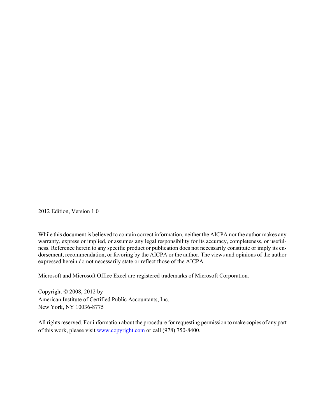2012 Edition, Version 1.0

While this document is believed to contain correct information, neither the AICPA nor the author makes any warranty, express or implied, or assumes any legal responsibility for its accuracy, completeness, or usefulness. Reference herein to any specific product or publication does not necessarily constitute or imply its endorsement, recommendation, or favoring by the AICPA or the author. The views and opinions of the author expressed herein do not necessarily state or reflect those of the AICPA.

Microsoft and Microsoft Office Excel are registered trademarks of Microsoft Corporation.

Copyright  $\odot$  2008, 2012 by American Institute of Certified Public Accountants, Inc. New York, NY 10036-8775

All rights reserved. For information about the procedure for requesting permission to make copies of any part of this work, please visit www.copyright.com or call (978) 750-8400.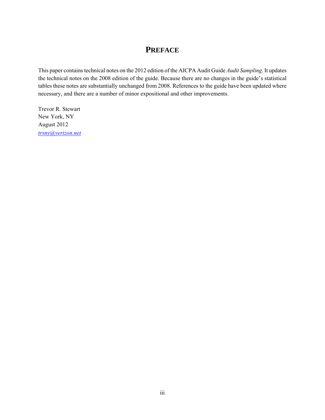# **PREFACE**

This paper contains technical notes on the 2012 edition of the AICPA Audit Guide *Audit Sampling*. It updates the technical notes on the 2008 edition of the guide. Because there are no changes in the guide's statistical tables these notes are substantially unchanged from 2008. References to the guide have been updated where necessary, and there are a number of minor expositional and other improvements.

Trevor R. Stewart New York, NY August 2012 *trsny@verizon.net*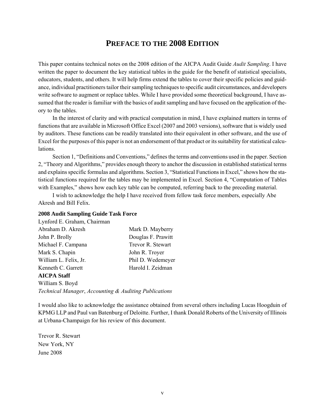# **PREFACE TO THE 2008 EDITION**

This paper contains technical notes on the 2008 edition of the AICPA Audit Guide *Audit Sampling*. I have written the paper to document the key statistical tables in the guide for the benefit of statistical specialists, educators, students, and others. It will help firms extend the tables to cover their specific policies and guidance, individual practitioners tailor their sampling techniques to specific audit circumstances, and developers write software to augment or replace tables. While I have provided some theoretical background, I have assumed that the reader is familiar with the basics of audit sampling and have focused on the application of theory to the tables.

 In the interest of clarity and with practical computation in mind, I have explained matters in terms of functions that are available in Microsoft Office Excel (2007 and 2003 versions), software that is widely used by auditors. These functions can be readily translated into their equivalent in other software, and the use of Excel for the purposes of this paper is not an endorsement of that product or its suitability for statistical calculations.

 Section 1, "Definitions and Conventions," defines the terms and conventions used in the paper. Section 2, "Theory and Algorithms," provides enough theory to anchor the discussion in established statistical terms and explains specific formulas and algorithms. Section 3, "Statistical Functions in Excel," shows how the statistical functions required for the tables may be implemented in Excel. Section 4, "Computation of Tables with Examples," shows how each key table can be computed, referring back to the preceding material.

 I wish to acknowledge the help I have received from fellow task force members, especially Abe Akresh and Bill Felix.

#### **2008 Audit Sampling Guide Task Force**

| Lynford E. Graham, Chairman |                    |
|-----------------------------|--------------------|
| Abraham D. Akresh           | Mark D. Mayberry   |
| John P. Brolly              | Douglas F. Prawitt |
| Michael F. Campana          | Trevor R. Stewart  |
| Mark S. Chapin              | John R. Troyer     |
| William L. Felix, Jr.       | Phil D. Wedemeyer  |
| Kenneth C. Garrett          | Harold I. Zeidman  |
| <b>AICPA Staff</b>          |                    |
| William S. Boyd             |                    |

*Technical Manager*, *Accounting & Auditing Publications* 

I would also like to acknowledge the assistance obtained from several others including Lucas Hoogduin of KPMG LLP and Paul van Batenburg of Deloitte. Further, I thank Donald Roberts of the University of Illinois at Urbana-Champaign for his review of this document.

Trevor R. Stewart New York, NY June 2008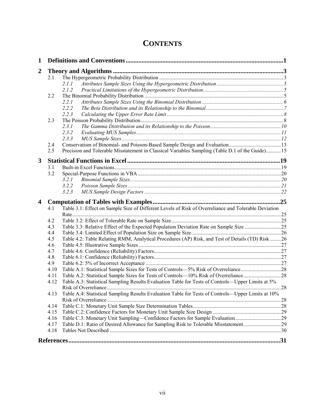# **CONTENTS**

| $\mathbf{1}$     |      |                                                                                                      |  |
|------------------|------|------------------------------------------------------------------------------------------------------|--|
| $\boldsymbol{2}$ |      |                                                                                                      |  |
|                  | 2.1  |                                                                                                      |  |
|                  |      | 2.1.1                                                                                                |  |
|                  |      | 2.1.2                                                                                                |  |
|                  | 2.2  |                                                                                                      |  |
|                  |      | 2.2.1                                                                                                |  |
|                  |      | 2.2.2                                                                                                |  |
|                  |      | 2.2.3                                                                                                |  |
|                  | 2.3  |                                                                                                      |  |
|                  |      | 2.3.1                                                                                                |  |
|                  |      | 2.3.2                                                                                                |  |
|                  |      | 2.3.3                                                                                                |  |
|                  | 2.4  |                                                                                                      |  |
|                  | 2.5  | Precision and Tolerable Misstatement in Classical Variables Sampling (Table D.1 of the Guide)15      |  |
| 3                |      |                                                                                                      |  |
|                  | 3.1  |                                                                                                      |  |
|                  | 3.2  |                                                                                                      |  |
|                  |      | 3.2.1                                                                                                |  |
|                  |      | 3.2.2                                                                                                |  |
|                  |      | 3.2.3                                                                                                |  |
| 4                |      |                                                                                                      |  |
|                  | 4.1  | Table 3.1: Effect on Sample Size of Different Levels of Risk of Overreliance and Tolerable Deviation |  |
|                  |      |                                                                                                      |  |
|                  | 4.2  |                                                                                                      |  |
|                  | 4.3  |                                                                                                      |  |
|                  | 4.4  |                                                                                                      |  |
|                  | 4.5  | Table 4.2: Table Relating RMM, Analytical Procedures (AP) Risk, and Test of Details (TD) Risk 26     |  |
|                  | 4.6  |                                                                                                      |  |
|                  | 4.7  |                                                                                                      |  |
|                  | 4.8  |                                                                                                      |  |
|                  | 4.9  |                                                                                                      |  |
|                  | 4.10 |                                                                                                      |  |
|                  | 4.11 |                                                                                                      |  |
|                  | 4.12 | Table A.3: Statistical Sampling Results Evaluation Table for Tests of Controls-Upper Limits at 5%    |  |
|                  |      |                                                                                                      |  |
|                  | 4.13 | Table A.4: Statistical Sampling Results Evaluation Table for Tests of Controls—Upper Limits at 10%   |  |
|                  |      |                                                                                                      |  |
|                  | 4.14 |                                                                                                      |  |
|                  | 4.15 |                                                                                                      |  |
|                  | 4.16 |                                                                                                      |  |
|                  | 4.17 | Table D.1: Ratio of Desired Allowance for Sampling Risk to Tolerable Misstatement29                  |  |
|                  | 4.18 |                                                                                                      |  |
|                  |      |                                                                                                      |  |
|                  |      |                                                                                                      |  |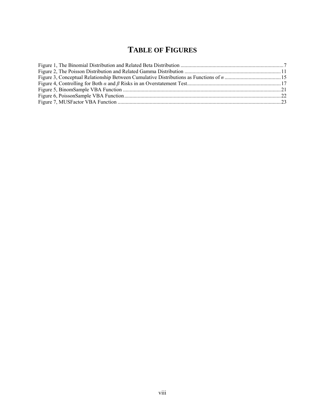# **TABLE OF FIGURES**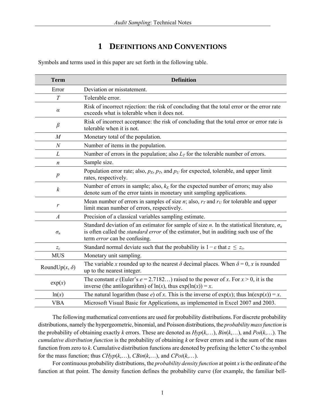# **1 DEFINITIONS AND CONVENTIONS**

Symbols and terms used in this paper are set forth in the following table.

| <b>Term</b>           | <b>Definition</b>                                                                                                                                                                                                                                |
|-----------------------|--------------------------------------------------------------------------------------------------------------------------------------------------------------------------------------------------------------------------------------------------|
| Error                 | Deviation or misstatement.                                                                                                                                                                                                                       |
| T                     | Tolerable error.                                                                                                                                                                                                                                 |
| $\alpha$              | Risk of incorrect rejection: the risk of concluding that the total error or the error rate<br>exceeds what is tolerable when it does not.                                                                                                        |
| $\beta$               | Risk of incorrect acceptance: the risk of concluding that the total error or error rate is<br>tolerable when it is not.                                                                                                                          |
| $\overline{M}$        | Monetary total of the population.                                                                                                                                                                                                                |
| $\mathcal{N}$         | Number of items in the population.                                                                                                                                                                                                               |
| L                     | Number of errors in the population; also $L_T$ for the tolerable number of errors.                                                                                                                                                               |
| $\boldsymbol{n}$      | Sample size.                                                                                                                                                                                                                                     |
| $\boldsymbol{p}$      | Population error rate; also, $p_E$ , $p_T$ , and $p_U$ for expected, tolerable, and upper limit<br>rates, respectively.                                                                                                                          |
| $\boldsymbol{k}$      | Number of errors in sample; also, $k_E$ for the expected number of errors; may also<br>denote sum of the error taints in monetary unit sampling applications.                                                                                    |
| r                     | Mean number of errors in samples of size $n$ ; also, $rT$ and $rU$ for tolerable and upper<br>limit mean number of errors, respectively.                                                                                                         |
| $\boldsymbol{A}$      | Precision of a classical variables sampling estimate.                                                                                                                                                                                            |
| $\sigma_n$            | Standard deviation of an estimator for sample of size <i>n</i> . In the statistical literature, $\sigma_n$<br>is often called the <i>standard error</i> of the estimator, but in auditing such use of the<br>term <i>error</i> can be confusing. |
| $Z_{\varepsilon}$     | Standard normal deviate such that the probability is $1 - \varepsilon$ that $z \le z_{\varepsilon}$ .                                                                                                                                            |
| <b>MUS</b>            | Monetary unit sampling.                                                                                                                                                                                                                          |
| RoundUp $(x, \delta)$ | The variable x rounded up to the nearest $\delta$ decimal places. When $\delta = 0$ , x is rounded<br>up to the nearest integer.                                                                                                                 |
| exp(x)                | The constant e (Euler's $e = 2.7182$ ) raised to the power of x. For $x > 0$ , it is the<br>inverse (the antilogarithm) of $ln(x)$ , thus $exp(ln(x)) = x$ .                                                                                     |
| ln(x)                 | The natural logarithm (base e) of x. This is the inverse of $exp(x)$ ; thus $ln(exp(x)) = x$ .                                                                                                                                                   |
| <b>VBA</b>            | Microsoft Visual Basic for Applications, as implemented in Excel 2007 and 2003.                                                                                                                                                                  |

 The following mathematical conventions are used for probability distributions. For discrete probability distributions, namely the hypergeometric, binomial, and Poisson distributions, the *probability mass function* is the probability of obtaining exactly *k* errors. These are denoted as *Hyp*(*k*,…), *Bin*(*k*,…), and *Poi*(*k*,…). The *cumulative distribution function* is the probability of obtaining *k* or fewer errors and is the sum of the mass function from zero to *k*. Cumulative distribution functions are denoted by prefixing the letter *C* to the symbol for the mass function; thus *CHyp*(*k*,…), *CBin*(*k*,…), and *CPoi*(*k*,…).

 For continuous probability distributions, the *probability density function* at point *x* is the ordinate of the function at that point. The density function defines the probability curve (for example, the familiar bell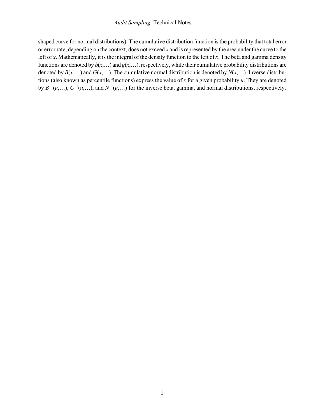shaped curve for normal distributions). The cumulative distribution function is the probability that total error or error rate, depending on the context, does not exceed *x* and is represented by the area under the curve to the left of *x*. Mathematically, it is the integral of the density function to the left of *x*. The beta and gamma density functions are denoted by  $b(x,...)$  and  $g(x,...)$ , respectively, while their cumulative probability distributions are denoted by  $B(x, \ldots)$  and  $G(x, \ldots)$ . The cumulative normal distribution is denoted by  $N(x, \ldots)$ . Inverse distributions (also known as percentile functions) express the value of *x* for a given probability *u*. They are denoted by  $B^{-1}(u,...)$ ,  $G^{-1}(u,...)$ , and  $N^{-1}(u,...)$  for the inverse beta, gamma, and normal distributions, respectively.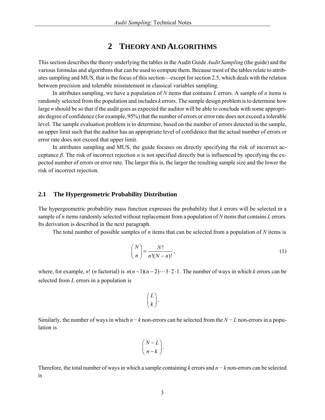# **2 THEORY AND ALGORITHMS**

This section describes the theory underlying the tables in the Audit Guide *Audit Sampling* (the guide) and the various formulas and algorithms that can be used to compute them. Because most of the tables relate to attributes sampling and MUS, that is the focus of this section—except for section 2.5, which deals with the relation between precision and tolerable misstatement in classical variables sampling.

 In attributes sampling, we have a population of *N* items that contains *L* errors. A sample of *n* items is randomly selected from the population and includes *k* errors. The sample design problem is to determine how large *n* should be so that if the audit goes as expected the auditor will be able to conclude with some appropriate degree of confidence (for example, 95%) that the number of errors or error rate does not exceed a tolerable level. The sample evaluation problem is to determine, based on the number of errors detected in the sample, an upper limit such that the auditor has an appropriate level of confidence that the actual number of errors or error rate does not exceed that upper limit.

 In attributes sampling and MUS, the guide focuses on directly specifying the risk of incorrect acceptance  $\beta$ . The risk of incorrect rejection  $\alpha$  is not specified directly but is influenced by specifying the expected number of errors or error rate. The larger this is, the larger the resulting sample size and the lower the risk of incorrect rejection.

#### **2.1 The Hypergeometric Probability Distribution**

The hypergeometric probability mass function expresses the probability that *k* errors will be selected in a sample of *n* items randomly selected without replacement from a population of *N* items that contains *L* errors. Its derivation is described in the next paragraph.

The total number of possible samples of *n* items that can be selected from a population of *N* items is

$$
\binom{N}{n} = \frac{N!}{n!(N-n)!},\tag{1}
$$

where, for example, n! (*n* factorial) is  $n(n-1)(n-2)\cdots 3\cdot 2\cdot 1$ . The number of ways in which *k* errors can be selected from *L* errors in a population is

$$
\binom{L}{k}.
$$

Similarly, the number of ways in which *n* − *k* non-errors can be selected from the *N* − *L* non-errors in a population is

$$
\binom{N-L}{n-k}.
$$

Therefore, the total number of ways in which a sample containing *k* errors and *n − k* non-errors can be selected is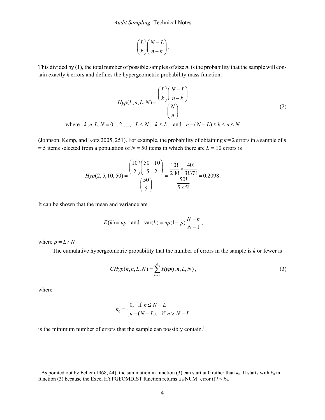$$
\binom{L}{k}\binom{N-L}{n-k}.
$$

This divided by (1), the total number of possible samples of size *n*, is the probability that the sample will contain exactly *k* errors and defines the hypergeometric probability mass function:

$$
Hyp(k, n, L, N) = \frac{\binom{L}{k}\binom{N-L}{n-k}}{\binom{N}{n}}
$$
  
where  $k, n, L, N = 0, 1, 2, ...$ ;  $L \le N$ ;  $k \le L$ ; and  $n - (N - L) \le k \le n \le N$  (2)

(Johnson, Kemp, and Kotz 2005, 251). For example, the probability of obtaining *k* = 2 errors in a sample of *n*  $=$  5 items selected from a population of *N* = 50 items in which there are *L* = 10 errors is

$$
Hyp(2, 5, 10, 50) = \frac{{\binom{10}{2}} {\binom{50 - 10}{5 - 2}}}{{\binom{50}{5}}} = \frac{\frac{10!}{2!8!} \times \frac{40!}{3!37!}}{\frac{50!}{5!45!}} = 0.2098.
$$

It can be shown that the mean and variance are

$$
E(k) = np \quad \text{and} \quad \text{var}(k) = np(1-p)\frac{N-n}{N-1} \,,
$$

where  $p = L/N$ .

The cumulative hypergeometric probability that the number of errors in the sample is *k* or fewer is

$$
CHyp(k, n, L, N) = \sum_{i=k_0}^{k} Hyp(i, n, L, N),
$$
\n(3)

where

$$
k_0 = \begin{cases} 0, & \text{if } n \le N - L \\ n - (N - L), & \text{if } n > N - L \end{cases}
$$

is the minimum number of errors that the sample can possibly contain.<sup>1</sup>

<sup>&</sup>lt;sup>1</sup> As pointed out by Feller (1968, 44), the summation in function (3) can start at 0 rather than  $k_0$ . It starts with  $k_0$  in function (3) because the Excel HYPGEOMDIST function returns a #NUM! error if  $i < k_0$ .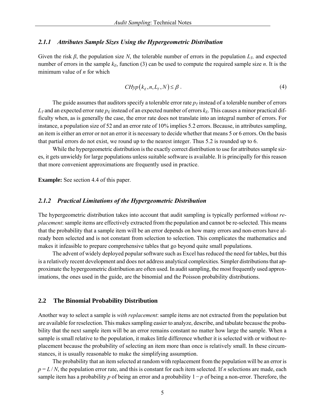#### *2.1.1 Attributes Sample Sizes Using the Hypergeometric Distribution*

Given the risk  $\beta$ , the population size N, the tolerable number of errors in the population  $L_T$ , and expected number of errors in the sample  $k_E$ , function (3) can be used to compute the required sample size *n*. It is the minimum value of *n* for which

$$
CHyp(kE, n, LT, N) \leq \beta.
$$
 (4)

The guide assumes that auditors specify a tolerable error rate  $p<sub>T</sub>$  instead of a tolerable number of errors  $L_T$  and an expected error rate  $p_E$  instead of an expected number of errors  $k_E$ . This causes a minor practical difficulty when, as is generally the case, the error rate does not translate into an integral number of errors. For instance, a population size of 52 and an error rate of 10% implies 5.2 errors. Because, in attributes sampling, an item is either an error or not an error it is necessary to decide whether that means 5 or 6 errors. On the basis that partial errors do not exist, we round up to the nearest integer. Thus 5.2 is rounded up to 6.

While the hypergeometric distribution is the exactly correct distribution to use for attributes sample sizes, it gets unwieldy for large populations unless suitable software is available. It is principally for this reason that more convenient approximations are frequently used in practice.

**Example:** See section 4.4 of this paper.

#### *2.1.2 Practical Limitations of the Hypergeometric Distribution*

The hypergeometric distribution takes into account that audit sampling is typically performed *without replacement*: sample items are effectively extracted from the population and cannot be re-selected. This means that the probability that a sample item will be an error depends on how many errors and non-errors have already been selected and is not constant from selection to selection. This complicates the mathematics and makes it infeasible to prepare comprehensive tables that go beyond quite small populations.

 The advent of widely deployed popular software such as Excel has reduced the need for tables, but this is a relatively recent development and does not address analytical complexities. Simpler distributions that approximate the hypergeometric distribution are often used. In audit sampling, the most frequently used approximations, the ones used in the guide, are the binomial and the Poisson probability distributions.

#### **2.2 The Binomial Probability Distribution**

Another way to select a sample is *with replacement*: sample items are not extracted from the population but are available for reselection. This makes sampling easier to analyze, describe, and tabulate because the probability that the next sample item will be an error remains constant no matter how large the sample. When a sample is small relative to the population, it makes little difference whether it is selected with or without replacement because the probability of selecting an item more than once is relatively small. In these circumstances, it is usually reasonable to make the simplifying assumption.

 The probability that an item selected at random with replacement from the population will be an error is  $p = L/N$ , the population error rate, and this is constant for each item selected. If *n* selections are made, each sample item has a probability *p* of being an error and a probability  $1 − p$  of being a non-error. Therefore, the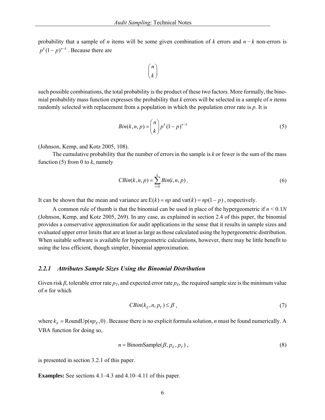probability that a sample of *n* items will be some given combination of *k* errors and *n − k* non-errors is  $p^{k}$   $(1-p)^{n-k}$ . Because there are



such possible combinations, the total probability is the product of these two factors. More formally, the binomial probability mass function expresses the probability that *k* errors will be selected in a sample of *n* items randomly selected with replacement from a population in which the population error rate is *p*. It is

$$
Bin(k, n, p) = {n \choose k} p^k (1-p)^{n-k}
$$
\n
$$
(5)
$$

(Johnson, Kemp, and Kotz 2005, 108).

 The cumulative probability that the number of errors in the sample is *k* or fewer is the sum of the mass function  $(5)$  from 0 to  $k$ , namely

$$
CBin(k, n, p) = \sum_{i=0}^{k} Bin(i, n, p).
$$
 (6)

It can be shown that the mean and variance are  $E(k) = np$  and var $(k) = np(1 - p)$ , respectively.

 A common rule of thumb is that the binomial can be used in place of the hypergeometric if *n* < 0.1*N* (Johnson, Kemp, and Kotz 2005, 269). In any case, as explained in section 2.4 of this paper, the binomial provides a conservative approximation for audit applications in the sense that it results in sample sizes and evaluated upper error limits that are at least as large as those calculated using the hypergeometric distribution. When suitable software is available for hypergeometric calculations, however, there may be little benefit to using the less efficient, though simpler, binomial approximation.

#### *2.2.1 Attributes Sample Sizes Using the Binomial Distribution*

Given risk  $\beta$ , tolerable error rate  $p_T$ , and expected error rate  $p_E$ , the required sample size is the minimum value of *n* for which

$$
CBin(k_E, n, p_T) \leq \beta , \qquad (7)
$$

where  $k_E$  = RoundUp( $np_E$ , 0). Because there is no explicit formula solution, *n* must be found numerically. A VBA function for doing so,

$$
n = BinomSample(\beta, p_E, p_T), \qquad (8)
$$

is presented in section 3.2.1 of this paper.

**Examples:** See sections 4.1–4.3 and 4.10–4.11 of this paper.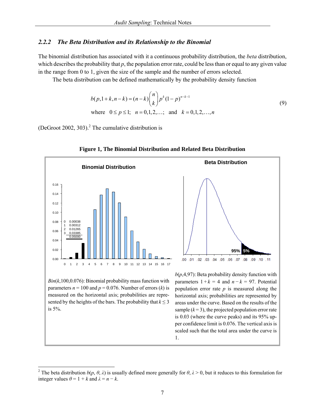#### *2.2.2 The Beta Distribution and its Relationship to the Binomial*

The binomial distribution has associated with it a continuous probability distribution, the *beta* distribution, which describes the probability that *p*, the population error rate, could be less than or equal to any given value in the range from 0 to 1, given the size of the sample and the number of errors selected.

The beta distribution can be defined mathematically by the probability density function

$$
b(p, 1+k, n-k) = (n-k) {n \choose k} p^{k} (1-p)^{n-k-1}
$$
  
where  $0 \le p \le 1$ ;  $n = 0, 1, 2, ...$ ; and  $k = 0, 1, 2, ..., n$  (9)

(DeGroot 2002, 303).<sup>2</sup> The cumulative distribution is

l



#### **Figure 1, The Binomial Distribution and Related Beta Distribution**

<sup>&</sup>lt;sup>2</sup> The beta distribution  $b(p, \theta, \lambda)$  is usually defined more generally for  $\theta, \lambda > 0$ , but it reduces to this formulation for integer values  $\theta = 1 + k$  and  $\lambda = n - k$ .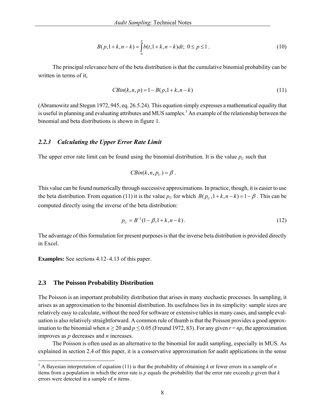$$
B(p, 1+k, n-k) = \int_{0}^{p} b(t, 1+k, n-k)dt; \ 0 \le p \le 1.
$$
 (10)

 The principal relevance here of the beta distribution is that the cumulative binomial probability can be written in terms of it,

$$
CBin(k, n, p) = 1 - B(p, 1 + k, n - k)
$$
\n(11)

(Abramowitz and Stegun 1972, 945, eq. 26.5.24). This equation simply expresses a mathematical equality that is useful in planning and evaluating attributes and MUS samples.<sup>3</sup> An example of the relationship between the binomial and beta distributions is shown in figure 1.

#### *2.2.3 Calculating the Upper Error Rate Limit*

The upper error rate limit can be found using the binomial distribution. It is the value  $p_U$  such that

$$
CBin(k, n, p_U) = \beta.
$$

This value can be found numerically through successive approximations. In practice, though, it is easier to use the beta distribution. From equation (11) it is the value  $p_U$  for which  $B(p_U, 1 + k, n - k) = 1 - \beta$ . This can be computed directly using the inverse of the beta distribution:

$$
p_U = B^{-1}(1 - \beta, 1 + k, n - k). \tag{12}
$$

The advantage of this formulation for present purposes is that the inverse beta distribution is provided directly in Excel.

**Examples:** See sections 4.12–4.13 of this paper.

#### **2.3 The Poisson Probability Distribution**

 $\overline{a}$ 

The Poisson is an important probability distribution that arises in many stochastic processes. In sampling, it arises as an approximation to the binomial distribution. Its usefulness lies in its simplicity: sample sizes are relatively easy to calculate, without the need for software or extensive tables in many cases, and sample evaluation is also relatively straightforward. A common rule of thumb is that the Poisson provides a good approximation to the binomial when  $n \ge 20$  and  $p \le 0.05$  (Freund 1972, 83). For any given  $r = np$ , the approximation improves as *p* decreases and *n* increases.

 The Poisson is often used as an alternative to the binomial for audit sampling, especially in MUS. As explained in section 2.4 of this paper, it is a conservative approximation for audit applications in the sense

 $3 \text{ A}$  Bayesian interpretation of equation (11) is that the probability of obtaining *k* or fewer errors in a sample of *n* items from a population in which the error rate is *p* equals the probability that the error rate exceeds *p* given that *k* errors were detected in a sample of *n* items.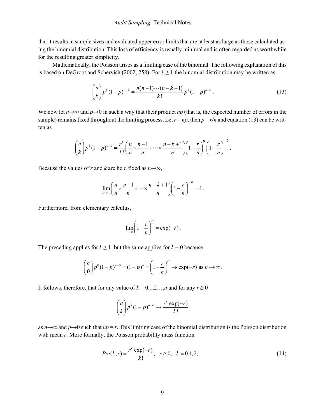that it results in sample sizes and evaluated upper error limits that are at least as large as those calculated using the binomial distribution. This loss of efficiency is usually minimal and is often regarded as worthwhile for the resulting greater simplicity.

 Mathematically, the Poisson arises as a limiting case of the binomial. The following explanation of this is based on DeGroot and Schervish (2002, 258). For  $k \ge 1$  the binomial distribution may be written as

$$
\binom{n}{k} p^k (1-p)^{n-k} = \frac{n(n-1)\cdots(n-k+1)}{k!} p^k (1-p)^{n-k} \,. \tag{13}
$$

We now let  $n \rightarrow \infty$  and  $p \rightarrow 0$  in such a way that their product *np* (that is, the expected number of errors in the sample) remains fixed throughout the limiting process. Let  $r = np$ , then  $p = r/n$  and equation (13) can be written as

$$
\binom{n}{k} p^k (1-p)^{n-k} = \frac{r^k}{k!} \left( \frac{n}{n} \times \frac{n-1}{n} \times \dots \times \frac{n-k+1}{n} \right) \left( 1 - \frac{r}{n} \right)^n \left( 1 - \frac{r}{n} \right)^{-k}.
$$

Because the values of *r* and *k* are held fixed as  $n \rightarrow \infty$ ,

$$
\lim_{n\to\infty}\left(\frac{n}{n}\times\frac{n-1}{n}\times\cdots\times\frac{n-k+1}{n}\right)\left(1-\frac{r}{n}\right)^{-k}=1.
$$

Furthermore, from elementary calculus,

$$
\lim_{n\to\infty}\left(1-\frac{r}{n}\right)^n=\exp(-r).
$$

The preceding applies for  $k \ge 1$ , but the same applies for  $k = 0$  because

$$
\binom{n}{0} p^0 (1-p)^{n-0} = (1-p)^n = \left(1 - \frac{r}{n}\right)^n \to \exp(-r) \text{ as } n \to \infty.
$$

It follows, therefore, that for any value of  $k = 0,1,2...$ , *n* and for any  $r \ge 0$ 

$$
\binom{n}{k} p^k (1-p)^{n-k} \to \frac{r^k \exp(-r)}{k!}
$$

as  $n \rightarrow \infty$  and  $p \rightarrow 0$  such that  $np = r$ . This limiting case of the binomial distribution is the Poisson distribution with mean *r*. More formally, the Poisson probability mass function

$$
Poi(k,r) = \frac{r^k \exp(-r)}{k!}; \quad r \ge 0, \quad k = 0, 1, 2, \dots
$$
 (14)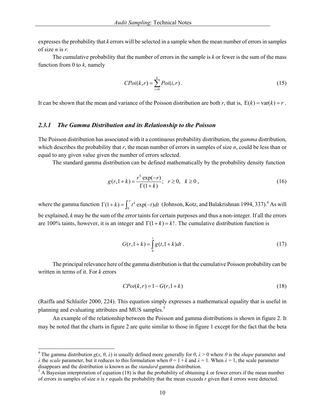expresses the probability that *k* errors will be selected in a sample when the mean number of errors in samples of size *n* is *r.*

 The cumulative probability that the number of errors in the sample is *k* or fewer is the sum of the mass function from 0 to *k*, namely

$$
C Poi(k, r) = \sum_{i=0}^{k} Poi(i, r).
$$
 (15)

It can be shown that the mean and variance of the Poisson distribution are both *r*, that is,  $E(k) = \text{var}(k) = r$ .

#### *2.3.1 The Gamma Distribution and its Relationship to the Poisson*

The Poisson distribution has associated with it a continuous probability distribution, the *gamma* distribution, which describes the probability that *r*, the mean number of errors in samples of size *n*, could be less than or equal to any given value given the number of errors selected.

The standard gamma distribution can be defined mathematically by the probability density function

$$
g(r, 1+k) = \frac{r^k \exp(-r)}{\Gamma(1+k)}; \quad r \ge 0, \quad k \ge 0,
$$
 (16)

where the gamma function  $\Gamma(1 + k) = \int_0^\infty t^k \exp(-t) dt$  (Johnson, Kotz, and Balakrishnan 1994, 337).<sup>4</sup> As will be explained, *k* may be the sum of the error taints for certain purposes and thus a non-integer. If all the errors are 100% taints, however, it is an integer and  $\Gamma(1 + k) = k!$ . The cumulative distribution function is

$$
G(r, 1+k) = \int_{0}^{r} g(t, 1+k)dt
$$
 (17)

 The principal relevance here of the gamma distribution is that the cumulative Poisson probability can be written in terms of it. For *k* errors

$$
C Poi(k, r) = 1 - G(r, 1 + k) \tag{18}
$$

(Raiffa and Schlaifer 2000, 224). This equation simply expresses a mathematical equality that is useful in planning and evaluating attributes and MUS samples.<sup>5</sup>

 An example of the relationship between the Poisson and gamma distributions is shown in figure 2. It may be noted that the charts in figure 2 are quite similar to those in figure 1 except for the fact that the beta

l

<sup>&</sup>lt;sup>4</sup> The gamma distribution  $g(x, \theta, \lambda)$  is usually defined more generally for  $\theta, \lambda > 0$  where  $\theta$  is the *shape* parameter and *λ* the *scale* parameter, but it reduces to this formulation when  $θ = 1 + k$  and  $λ = 1$ . When  $λ = 1$ , the scale parameter disappears and the distribution is known as the *standard* gamma distribution. 5

 $<sup>5</sup>$  A Bayesian interpretation of equation (18) is that the probability of obtaining *k* or fewer errors if the mean number</sup> of errors in samples of size *n* is *r* equals the probability that the mean exceeds *r* given that *k* errors were detected.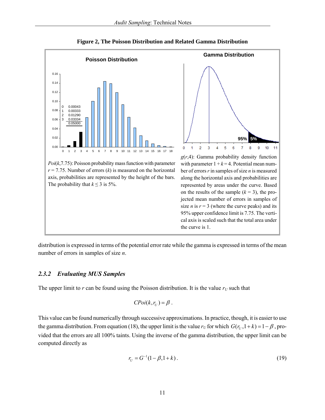

**Figure 2, The Poisson Distribution and Related Gamma Distribution** 

size *n* is  $r = 3$  (where the curve peaks) and its 95% upper confidence limit is 7.75. The vertical axis is scaled such that the total area under

**95% 5%**

 $\overline{7}$ 8 9  $10$ 11

distribution is expressed in terms of the potential error rate while the gamma is expressed in terms of the mean number of errors in samples of size *n*.

#### *2.3.2 Evaluating MUS Samples*

The upper limit to  $r$  can be found using the Poisson distribution. It is the value  $r_U$  such that

$$
C Poi(k, r_U) = \beta.
$$

This value can be found numerically through successive approximations. In practice, though, it is easier to use the gamma distribution. From equation (18), the upper limit is the value  $r_U$  for which  $G(r_U, 1 + k) = 1 - \beta$ , provided that the errors are all 100% taints. Using the inverse of the gamma distribution, the upper limit can be computed directly as

$$
r_U = G^{-1}(1 - \beta, 1 + k). \tag{19}
$$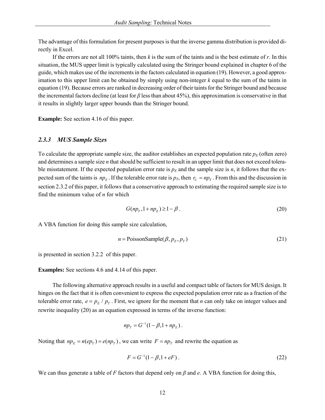The advantage of this formulation for present purposes is that the inverse gamma distribution is provided directly in Excel.

 If the errors are not all 100% taints, then *k* is the sum of the taints and is the best estimate of *r*. In this situation, the MUS upper limit is typically calculated using the Stringer bound explained in chapter 6 of the guide, which makes use of the increments in the factors calculated in equation (19). However, a good approximation to this upper limit can be obtained by simply using non-integer *k* equal to the sum of the taints in equation (19). Because errors are ranked in decreasing order of their taints for the Stringer bound and because the incremental factors decline (at least for *β* less than about 45%), this approximation is conservative in that it results in slightly larger upper bounds than the Stringer bound.

**Example:** See section 4.16 of this paper.

#### *2.3.3 MUS Sample Sizes*

To calculate the appropriate sample size, the auditor establishes an expected population rate  $p_E$  (often zero) and determines a sample size *n* that should be sufficient to result in an upper limit that does not exceed tolerable misstatement. If the expected population error rate is  $p_E$  and the sample size is *n*, it follows that the expected sum of the taints is  $np_F$ . If the tolerable error rate is  $p_T$ , then  $r_U = np_T$ . From this and the discussion in section 2.3.2 of this paper, it follows that a conservative approach to estimating the required sample size is to find the minimum value of *n* for which

$$
G(npr, 1 + npE) \ge 1 - \beta.
$$
 (20)

A VBA function for doing this sample size calculation,

$$
n = \text{PoissonSample}(\beta, p_E, p_T) \tag{21}
$$

is presented in section 3.2.2 of this paper.

**Examples:** See sections 4.6 and 4.14 of this paper.

 The following alternative approach results in a useful and compact table of factors for MUS design. It hinges on the fact that it is often convenient to express the expected population error rate as a fraction of the tolerable error rate,  $e = p_E / p_T$ . First, we ignore for the moment that *n* can only take on integer values and rewrite inequality (20) as an equation expressed in terms of the inverse function:

$$
np_T = G^{-1}(1 - \beta, 1 + np_E).
$$

Noting that  $np_E = n(ep_T) = e(np_T)$ , we can write  $F = np_T$  and rewrite the equation as

$$
F = G^{-1}(1 - \beta, 1 + eF) \tag{22}
$$

We can thus generate a table of *F* factors that depend only on *β* and *e*. A VBA function for doing this,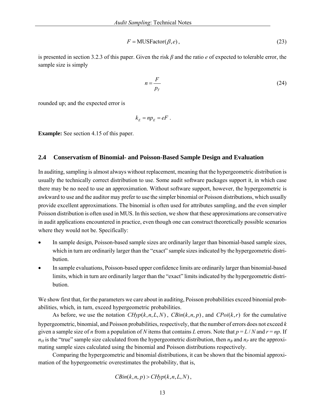$$
F = \text{MUSFactor}(\beta, e),\tag{23}
$$

is presented in section 3.2.3 of this paper. Given the risk *β* and the ratio *e* of expected to tolerable error, the sample size is simply

$$
n = \frac{F}{p_T} \tag{24}
$$

rounded up; and the expected error is

$$
k_E = np_E = eF.
$$

**Example:** See section 4.15 of this paper.

#### **2.4 Conservatism of Binomial- and Poisson-Based Sample Design and Evaluation**

In auditing, sampling is almost always without replacement, meaning that the hypergeometric distribution is usually the technically correct distribution to use. Some audit software packages support it, in which case there may be no need to use an approximation. Without software support, however, the hypergeometric is awkward to use and the auditor may prefer to use the simpler binomial or Poisson distributions, which usually provide excellent approximations. The binomial is often used for attributes sampling, and the even simpler Poisson distribution is often used in MUS. In this section, we show that these approximations are conservative in audit applications encountered in practice, even though one can construct theoretically possible scenarios where they would not be. Specifically:

- In sample design, Poisson-based sample sizes are ordinarily larger than binomial-based sample sizes, which in turn are ordinarily larger than the "exact" sample sizes indicated by the hypergeometric distribution.
- In sample evaluations, Poisson-based upper confidence limits are ordinarily larger than binomial-based limits, which in turn are ordinarily larger than the "exact" limits indicated by the hypergeometric distribution.

We show first that, for the parameters we care about in auditing, Poisson probabilities exceed binomial probabilities, which, in turn, exceed hypergeometric probabilities.

As before, we use the notation  $CHyp(k, n, L, N)$ ,  $CBin(k, n, p)$ , and  $CPoi(k, r)$  for the cumulative hypergeometric, binomial, and Poisson probabilities, respectively, that the number of errors does not exceed *k* given a sample size of *n* from a population of *N* items that contains *L* errors. Note that  $p = L/N$  and  $r = np$ . If  $n_H$  is the "true" sample size calculated from the hypergeometric distribution, then  $n_B$  and  $n_P$  are the approximating sample sizes calculated using the binomial and Poisson distributions respectively.

 Comparing the hypergeometric and binomial distributions, it can be shown that the binomial approximation of the hypergeometric overestimates the probability, that is,

$$
CBin(k, n, p) > CHyp(k, n, L, N),
$$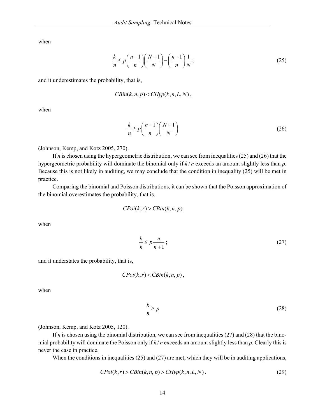when

$$
\frac{k}{n} \le p \bigg( \frac{n-1}{n} \bigg) \bigg( \frac{N+1}{N} \bigg) - \bigg( \frac{n-1}{n} \bigg) \frac{1}{N};\tag{25}
$$

and it underestimates the probability, that is,

$$
CBin(k, n, p) < CHyp(k, n, L, N),
$$

when

$$
\frac{k}{n} \ge p \left( \frac{n-1}{n} \right) \left( \frac{N+1}{N} \right) \tag{26}
$$

(Johnson, Kemp, and Kotz 2005, 270).

 If *n* is chosen using the hypergeometric distribution, we can see from inequalities (25) and (26) that the hypergeometric probability will dominate the binomial only if *k* / *n* exceeds an amount slightly less than *p*. Because this is not likely in auditing, we may conclude that the condition in inequality (25) will be met in practice.

 Comparing the binomial and Poisson distributions, it can be shown that the Poisson approximation of the binomial overestimates the probability, that is,

$$
C Poi(k, r) > C B in(k, n, p)
$$

when

$$
\frac{k}{n} \le p \frac{n}{n+1};\tag{27}
$$

and it understates the probability, that is,

$$
C Poi(k, r) < C Bin(k, n, p),
$$

when

$$
\frac{k}{n} \ge p \tag{28}
$$

(Johnson, Kemp, and Kotz 2005, 120).

If *n* is chosen using the binomial distribution, we can see from inequalities  $(27)$  and  $(28)$  that the binomial probability will dominate the Poisson only if *k* / *n* exceeds an amount slightly less than *p*. Clearly this is never the case in practice.

When the conditions in inequalities (25) and (27) are met, which they will be in auditing applications,

$$
CPoi(k,r) > CBin(k,n,p) > CHyp(k,n,L,N).
$$
\n(29)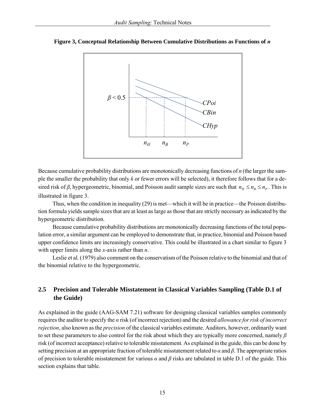

**Figure 3, Conceptual Relationship Between Cumulative Distributions as Functions of** *n*

Because cumulative probability distributions are monotonically decreasing functions of *n* (the larger the sample the smaller the probability that only *k* or fewer errors will be selected), it therefore follows that for a desired risk of *β*, hypergeometric, binomial, and Poisson audit sample sizes are such that  $n_H \le n_R \le n_P$ . This is illustrated in figure 3.

 Thus, when the condition in inequality (29) is met—which it will be in practice—the Poisson distribution formula yields sample sizes that are at least as large as those that are strictly necessary as indicated by the hypergeometric distribution.

 Because cumulative probability distributions are monotonically decreasing functions of the total population error, a similar argument can be employed to demonstrate that, in practice, binomial and Poisson based upper confidence limits are increasingly conservative. This could be illustrated in a chart similar to figure 3 with upper limits along the *x*-axis rather than *n*.

 Leslie et al. (1979) also comment on the conservatism of the Poisson relative to the binomial and that of the binomial relative to the hypergeometric.

# **2.5 Precision and Tolerable Misstatement in Classical Variables Sampling (Table D.1 of the Guide)**

As explained in the guide (AAG-SAM 7.21) software for designing classical variables samples commonly requires the auditor to specify the *α* risk (of incorrect rejection) and the desired *allowance for risk of incorrect rejection*, also known as the *precision* of the classical variables estimate. Auditors, however, ordinarily want to set these parameters to also control for the risk about which they are typically more concerned, namely *β* risk (of incorrect acceptance) relative to tolerable misstatement. As explained in the guide, this can be done by setting precision at an appropriate fraction of tolerable misstatement related to *α* and *β*. The appropriate ratios of precision to tolerable misstatement for various *α* and *β* risks are tabulated in table D.1 of the guide. This section explains that table.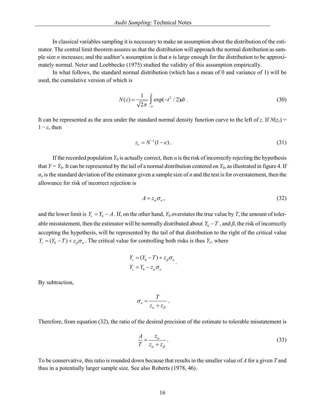In classical variables sampling it is necessary to make an assumption about the distribution of the estimator. The central limit theorem assures us that the distribution will approach the normal distribution as sample size *n* increases; and the auditor's assumption is that *n* is large enough for the distribution to be approximately normal. Neter and Loebbecke (1975) studied the validity of this assumption empirically.

 In what follows, the standard normal distribution (which has a mean of 0 and variance of 1) will be used, the cumulative version of which is

$$
N(z) = \frac{1}{\sqrt{2\pi}} \int_{-\infty}^{z} \exp(-t^2 / 2) dt.
$$
 (30)

It can be represented as the area under the standard normal density function curve to the left of *z*. If  $N(z_e)$  =  $1 - \varepsilon$ , then

$$
z_{\varepsilon} = N^{-1}(1 - \varepsilon). \tag{31}
$$

If the recorded population  $Y_0$  is actually correct, then  $\alpha$  is the risk of incorrectly rejecting the hypothesis that  $Y = Y_0$ . It can be represented by the tail of a normal distribution centered on  $Y_0$ , as illustrated in figure 4. If  $\sigma_n$  is the standard deviation of the estimator given a sample size of *n* and the test is for overstatement, then the allowance for risk of incorrect rejection is

$$
A = z_{\alpha} \sigma_n, \tag{32}
$$

and the lower limit is  $Y_c = Y_0 - A$ . If, on the other hand,  $Y_0$  overstates the true value by *T*, the amount of tolerable misstatement, then the estimator will be normally distributed about  $Y_0 - T$ , and  $\beta$ , the risk of incorrectly accepting the hypothesis, will be represented by the tail of that distribution to the right of the critical value  $Y_c = (Y_0 - T) + z_\beta \sigma_n$ . The critical value for controlling both risks is thus  $Y_c$ , where

$$
Y_c = (Y_0 - T) + z_{\beta} \sigma_n
$$
  

$$
Y_c = Y_0 - z_{\alpha} \sigma_n
$$

By subtraction,

$$
\sigma_n = \frac{T}{z_\alpha + z_\beta} \, .
$$

Therefore, from equation (32), the ratio of the desired precision of the estimate to tolerable misstatement is

$$
\frac{A}{T} = \frac{z_{\alpha}}{z_{\alpha} + z_{\beta}}.
$$
\n(33)

To be conservative, this ratio is rounded down because that results in the smaller value of *A* for a given *T* and thus in a potentially larger sample size. See also Roberts (1978, 46).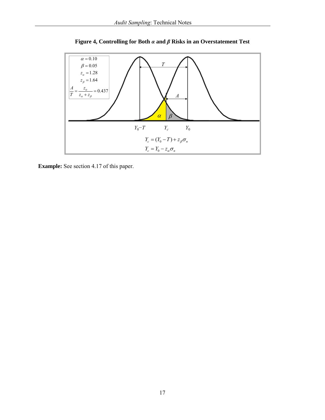

**Figure 4, Controlling for Both** *α* **and** *β* **Risks in an Overstatement Test** 

**Example:** See section 4.17 of this paper.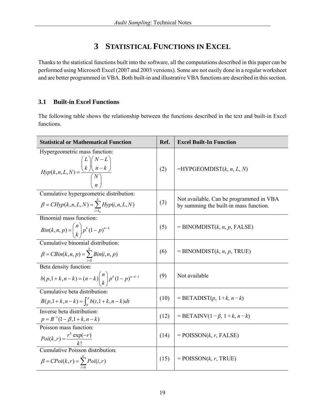# **3 STATISTICAL FUNCTIONS IN EXCEL**

Thanks to the statistical functions built into the software, all the computations described in this paper can be performed using Microsoft Excel (2007 and 2003 versions). Some are not easily done in a regular worksheet and are better programmed in VBA. Both built-in and illustrative VBA functions are described in this section.

# **3.1 Built-in Excel Functions**

The following table shows the relationship between the functions described in the text and built-in Excel functions.

| <b>Statistical or Mathematical Function</b>                                                              | Ref. | <b>Excel Built-In Function</b>                                                    |
|----------------------------------------------------------------------------------------------------------|------|-----------------------------------------------------------------------------------|
| Hypergeometric mass function:<br>$Hyp(k, n, L, N) = \frac{\binom{2}{k}\binom{N}{n-k}}{\binom{N}{n}}$     | (2)  | $=$ HYPGEOMDIST $(k, n, L, N)$                                                    |
| Cumulative hypergeometric distribution:<br>$\beta = CHyp(k, n, L, N) = \sum_{i=k_0}^{k} Hyp(i, n, L, N)$ | (3)  | Not available. Can be programmed in VBA<br>by summing the built-in mass function. |
| Binomial mass function<br>$Bin(k, n, p) = {n \choose k} p^{k} (1-p)^{n-k}$                               | (5)  | $=$ BINOMDIST(k, n, p, FALSE)                                                     |
| Cumulative binomial distribution:<br>$\beta = CBin(k, n, p) = \sum_{i=0}^{n} Bin(i, n, p)$               | (6)  | $=$ BINOMDIST(k, n, p, TRUE)                                                      |
| Beta density function:<br>$b(p,1+k,n-k) = (n-k) {n \choose k} p^{k} (1-p)^{n-k-1}$                       | (9)  | Not available                                                                     |
| Cumulative beta distribution:<br>$B(p,1+k,n-k) = \int_{0}^{p} b(t,1+k,n-k)dt$                            | (10) | $=$ BETADIST $(p, 1+k, n-k)$                                                      |
| Inverse beta distribution:<br>$p = B^{-1}(1-\beta, 1+k, n-k)$                                            | (12) | = BETAINV(1- $\beta$ , 1+ $k$ , n- $k$ )                                          |
| Poisson mass function:<br>$Poi(k,r) = \frac{r^k \exp(-r)}{k!}$                                           | (14) | $=$ POISSON $(k, r,$ FALSE)                                                       |
| Cumulative Poisson distribution:<br>$\beta = C Poi(k,r) = \sum_{i=0}^{k} Poi(i,r)$                       | (15) | $=$ POISSON $(k, r,$ TRUE)                                                        |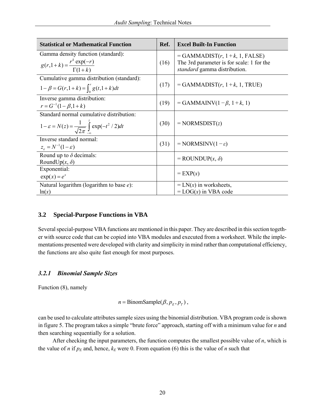| <b>Statistical or Mathematical Function</b>                                                                       | Ref. | <b>Excel Built-In Function</b>                                                                                  |
|-------------------------------------------------------------------------------------------------------------------|------|-----------------------------------------------------------------------------------------------------------------|
| Gamma density function (standard):<br>$g(r,1+k) = \frac{r^k \exp(-r)}{\Gamma(1+k)}$                               | (16) | $=$ GAMMADIST $(r, 1+k, 1,$ FALSE)<br>The 3rd parameter is for scale: 1 for the<br>standard gamma distribution. |
| Cumulative gamma distribution (standard):<br>$1 - \beta = G(r, 1 + k) = \int_0^r g(t, 1 + k) dt$                  | (17) | $=$ GAMMADIST( $r$ , 1 + $k$ , 1, TRUE)                                                                         |
| Inverse gamma distribution:<br>$r = G^{-1}(1 - \beta, 1 + k)$                                                     | (19) | $=$ GAMMAINV(1 – $\beta$ , 1 + $k$ , 1)                                                                         |
| Standard normal cumulative distribution:<br>$1 - \varepsilon = N(z) = \frac{1}{\sqrt{2\pi}} \int \exp(-t^2/2) dt$ | (30) | $= NORMSDIST(z)$                                                                                                |
| Inverse standard normal:<br>$z_{\varepsilon} = N^{-1}(1-\varepsilon)$                                             | (31) | $= NORMSINV(1-\varepsilon)$                                                                                     |
| Round up to $\delta$ decimals:<br>RoundUp $(x, \delta)$                                                           |      | $=$ ROUNDUP $(x, \delta)$                                                                                       |
| Exponential:<br>$exp(x) = e^x$                                                                                    |      | $= EXP(x)$                                                                                                      |
| Natural logarithm (logarithm to base $e$ ):<br>ln(x)                                                              |      | $= LN(x)$ in worksheets,<br>$=$ LOG(x) in VBA code                                                              |

#### **3.2 Special-Purpose Functions in VBA**

Several special-purpose VBA functions are mentioned in this paper. They are described in this section together with source code that can be copied into VBA modules and executed from a worksheet. While the implementations presented were developed with clarity and simplicity in mind rather than computational efficiency, the functions are also quite fast enough for most purposes.

## *3.2.1 Binomial Sample Sizes*

Function (8), namely

 $n = \text{BinomSample}(\beta, p_F, p_T)$ ,

can be used to calculate attributes sample sizes using the binomial distribution. VBA program code is shown in figure 5. The program takes a simple "brute force" approach, starting off with a minimum value for *n* and then searching sequentially for a solution.

 After checking the input parameters, the function computes the smallest possible value of *n*, which is the value of *n* if  $p_E$  and, hence,  $k_E$  were 0. From equation (6) this is the value of *n* such that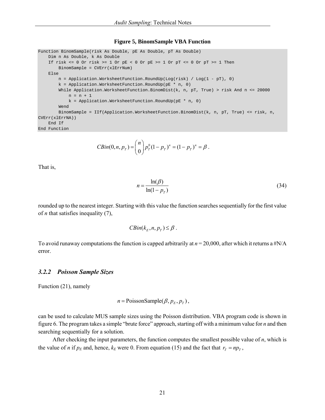#### **Figure 5, BinomSample VBA Function**

```
Function BinomSample(risk As Double, pE As Double, pT As Double) 
     Dim n As Double, k As Double 
    If risk \leq 0 Or risk \geq 1 Or pE < 0 Or pE \geq 1 Or pT \leq 0 Or pT \geq 1 Then
         BinomSample = CVErr(xlErrNum) 
     Else 
         n = Application.WorksheetFunction.RoundUp(Log(risk) / Log(1 - pT), 0) 
        k = Application.WorksheetFunction.RoundUp(pE * n, 0)
        While Application.WorksheetFunction.BinomDist(k, n, pT, True) > risk And n <= 20000
            n = n + 1 k = Application.WorksheetFunction.RoundUp(pE * n, 0) 
         Wend 
        BinomSample = IIf(Application.WorksheetFunction.BinomDist(k, n, pT, True) <= risk, n,
CVErr(xlErrNA)) 
    End If 
End Function
```

$$
CBin(0, n, p_T) = {n \choose 0} p_T^0 (1-p_T)^n = (1-p_T)^n = \beta.
$$

That is,

$$
n = \frac{\ln(\beta)}{\ln(1 - p_T)}\tag{34}
$$

rounded up to the nearest integer. Starting with this value the function searches sequentially for the first value of *n* that satisfies inequality (7),

$$
CBin(k_E, n, p_T) \leq \beta.
$$

To avoid runaway computations the function is capped arbitrarily at *n* = 20,000, after which it returns a #N/A error.

#### *3.2.2 Poisson Sample Sizes*

Function (21), namely

$$
n = \text{PoissonSample}(\beta, p_E, p_T),
$$

can be used to calculate MUS sample sizes using the Poisson distribution. VBA program code is shown in figure 6. The program takes a simple "brute force" approach, starting off with a minimum value for *n* and then searching sequentially for a solution.

 After checking the input parameters, the function computes the smallest possible value of *n*, which is the value of *n* if  $p_E$  and, hence,  $k_E$  were 0. From equation (15) and the fact that  $r_T = np_T$ ,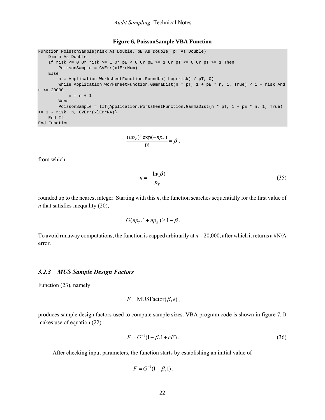#### **Figure 6, PoissonSample VBA Function**

```
Function PoissonSample(risk As Double, pE As Double, pT As Double) 
    Dim n As Double 
    If risk \leq 0 Or risk > = 1 Or pE < 0 Or pE > = 1 Or pT < = 0 Or pT > = 1 Then
         PoissonSample = CVErr(xlErrNum) 
     Else 
         n = Application.WorksheetFunction.RoundUp(-Log(risk) / pT, 0) 
        While Application.WorksheetFunction.GammaDist(n * pT, 1 + pE * n, 1, True) < 1 - risk And
n \le 20000n = n + 1 Wend 
         PoissonSample = IIf(Application.WorksheetFunction.GammaDist(n * pT, 1 + pE * n, 1, True) 
>= 1 - risk, n, CVErr(xlErrNA)) 
    End If 
End Function
```

$$
\frac{(np_T)^0 \exp(-np_T)}{0!} = \beta,
$$

from which

$$
n = \frac{-\ln(\beta)}{p_T} \tag{35}
$$

rounded up to the nearest integer. Starting with this *n*, the function searches sequentially for the first value of *n* that satisfies inequality (20),

$$
G(np_T, 1+np_E) \geq 1-\beta.
$$

To avoid runaway computations, the function is capped arbitrarily at *n* = 20,000, after which it returns a #N/A error.

#### *3.2.3 MUS Sample Design Factors*

Function (23), namely

$$
F = \text{MUSFactor}(\beta, e),
$$

produces sample design factors used to compute sample sizes. VBA program code is shown in figure 7. It makes use of equation (22)

$$
F = G^{-1}(1 - \beta, 1 + eF) \tag{36}
$$

After checking input parameters, the function starts by establishing an initial value of

$$
F = G^{-1}(1 - \beta, 1) \, .
$$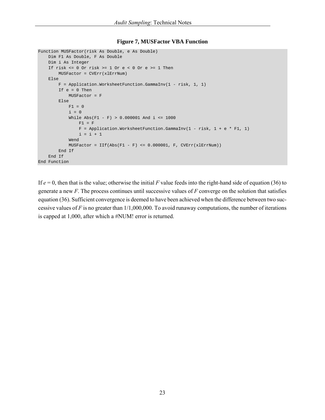#### **Figure 7, MUSFactor VBA Function**

```
Function MUSFactor(risk As Double, e As Double) 
    Dim F1 As Double, F As Double 
     Dim i As Integer 
    If risk \leq 0 Or risk > = 1 Or e < 0 Or e > = 1 Then
         MUSFactor = CVErr(xlErrNum) 
     Else 
        F = Application.WorksheetFunction.GammaInv(1 - risk, 1, 1)
         If e = 0 Then 
             MUSFactor = F 
         Else 
            F1 = 0i = 0While Abs(F1 - F) > 0.000001 And i <= 1000
                F1 = FF = Application. Worksheet Function. GammaInv(1 - risk, 1 + e * F1, 1)
                i = i + 1 Wend 
             MUSFactor = IIf(Abs(F1 - F) <= 0.000001, F, CVErr(xlErrNum)) 
         End If 
     End If 
End Function
```
If *e* = 0, then that is the value; otherwise the initial *F* value feeds into the right-hand side of equation (36) to generate a new *F*. The process continues until successive values of *F* converge on the solution that satisfies equation (36). Sufficient convergence is deemed to have been achieved when the difference between two successive values of *F* is no greater than 1/1,000,000. To avoid runaway computations, the number of iterations is capped at 1,000, after which a #NUM! error is returned.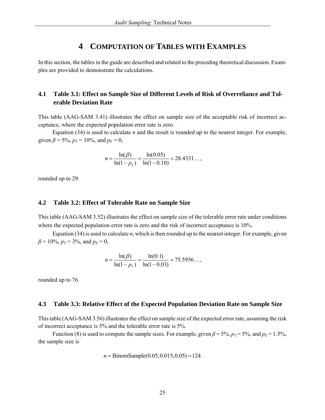# **4 COMPUTATION OF TABLES WITH EXAMPLES**

In this section, the tables in the guide are described and related to the preceding theoretical discussion. Examples are provided to demonstrate the calculations.

## **4.1 Table 3.1: Effect on Sample Size of Different Levels of Risk of Overreliance and Tolerable Deviation Rate**

This table (AAG-SAM 3.41) illustrates the effect on sample size of the acceptable risk of incorrect acceptance, where the expected population error rate is zero.

 Equation (34) is used to calculate *n* and the result is rounded up to the nearest integer. For example, given  $\beta = 5\%$ ,  $p_T = 10\%$ , and  $p_E = 0$ ,

$$
n = \frac{\ln(\beta)}{\ln(1 - p_T)} = \frac{\ln(0.05)}{\ln(1 - 0.10)} = 28.4331...
$$

rounded up to 29.

#### **4.2 Table 3.2: Effect of Tolerable Rate on Sample Size**

This table (AAG-SAM 3.52) illustrates the effect on sample size of the tolerable error rate under conditions where the expected population error rate is zero and the risk of incorrect acceptance is 10%.

 Equation (34) is used to calculate *n*, which is then rounded up to the nearest integer. For example, given  $\beta$  = 10%,  $p_T$  = 3%, and  $p_E$  = 0,

$$
n = \frac{\ln(\beta)}{\ln(1 - p_T)} = \frac{\ln(0.1)}{\ln(1 - 0.03)} = 75.5956...
$$

rounded up to 76.

#### **4.3 Table 3.3: Relative Effect of the Expected Population Deviation Rate on Sample Size**

This table (AAG-SAM 3.56) illustrates the effect on sample size of the expected error rate, assuming the risk of incorrect acceptance is 5% and the tolerable error rate is 5%.

Function (8) is used to compute the sample sizes. For example, given  $\beta$  = 5%,  $p_T$  = 5%, and  $p_E$  = 1.5%, the sample size is

$$
n = \text{BinomSample}(0.05, 0.015, 0.05) = 124
$$
.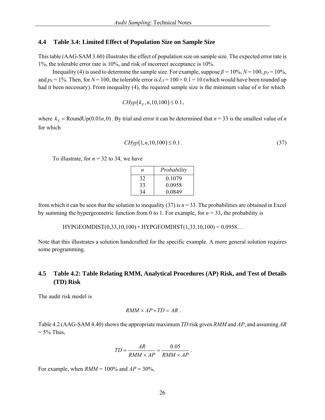#### **4.4 Table 3.4: Limited Effect of Population Size on Sample Size**

This table (AAG-SAM 3.60) illustrates the effect of population size on sample size. The expected error rate is 1%, the tolerable error rate is 10%, and risk of incorrect acceptance is 10%.

Inequality (4) is used to determine the sample size. For example, suppose  $\beta = 10\%$ ,  $N = 100$ ,  $p_T = 10\%$ , and  $p_E = 1\%$ . Then, for  $N = 100$ , the tolerable error is  $L_T = 100 \times 0.1 = 10$  (which would have been rounded up had it been necessary). From inequality (4), the required sample size is the minimum value of *n* for which

$$
CHyp(k_E, n, 10, 100) \le 0.1
$$
,

where  $k<sub>F</sub> = \text{RoundUp}(0.01n, 0)$ . By trial and error it can be determined that  $n = 33$  is the smallest value of *n* for which

$$
CHyp(1, n, 10, 100) \le 0.1.
$$
\n(37)

To illustrate, for  $n = 32$  to 34, we have

| n. | Probability |
|----|-------------|
| 32 | 0 1 0 7 9   |
| 33 | 0.0958      |
| 34 | 0.0849      |

from which it can be seen that the solution to inequality  $(37)$  is  $n = 33$ . The probabilities are obtained in Excel by summing the hypergeometric function from 0 to 1. For example, for *n* = 33, the probability is

HYPGEOMDIST(0,33,10,100) + HYPGEOMDIST(1,33,10,100) = 0.0958…

Note that this illustrates a solution handcrafted for the specific example. A more general solution requires some programming.

## **4.5 Table 4.2: Table Relating RMM, Analytical Procedures (AP) Risk, and Test of Details (TD) Risk**

The audit risk model is

$$
RMM \times AP \times TD = AR.
$$

Table 4.2 (AAG-SAM 4.40) shows the appropriate maximum *TD* risk given *RMM* and *AP*, and assuming *AR*  $= 5\%$  Thus,

$$
TD = \frac{AR}{RMM \times AP} = \frac{0.05}{RMM \times AP}.
$$

For example, when  $RMM = 100\%$  and  $AP = 30\%$ ,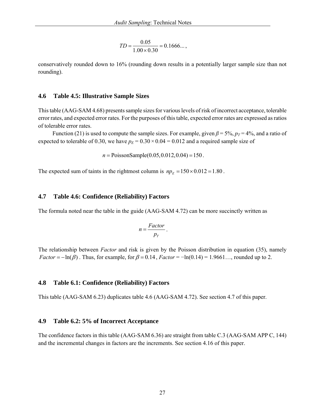$$
TD = \frac{0.05}{1.00 \times 0.30} = 0.1666...
$$

conservatively rounded down to 16% (rounding down results in a potentially larger sample size than not rounding).

#### **4.6 Table 4.5: Illustrative Sample Sizes**

This table (AAG-SAM 4.68) presents sample sizes for various levels of risk of incorrect acceptance, tolerable error rates, and expected error rates. For the purposes of this table, expected error rates are expressed as ratios of tolerable error rates.

Function (21) is used to compute the sample sizes. For example, given  $\beta$  = 5%,  $p_T$  = 4%, and a ratio of expected to tolerable of 0.30, we have  $p_E = 0.30 \times 0.04 = 0.012$  and a required sample size of

 $n = \text{PoissonSample}(0.05, 0.012, 0.04) = 150$ .

The expected sum of taints in the rightmost column is  $np_E = 150 \times 0.012 = 1.80$ .

#### **4.7 Table 4.6: Confidence (Reliability) Factors**

The formula noted near the table in the guide (AAG-SAM 4.72) can be more succinctly written as

$$
n=\frac{Factor}{p_T}.
$$

The relationship between *Factor* and risk is given by the Poisson distribution in equation (35), namely *Factor* =  $-\ln(\beta)$ . Thus, for example, for  $\beta = 0.14$ , *Factor* =  $-\ln(0.14) = 1.9661...$ , rounded up to 2.

#### **4.8 Table 6.1: Confidence (Reliability) Factors**

This table (AAG-SAM 6.23) duplicates table 4.6 (AAG-SAM 4.72). See section 4.7 of this paper.

#### **4.9 Table 6.2: 5% of Incorrect Acceptance**

The confidence factors in this table (AAG-SAM 6.36) are straight from table C.3 (AAG-SAM APP C, 144) and the incremental changes in factors are the increments. See section 4.16 of this paper.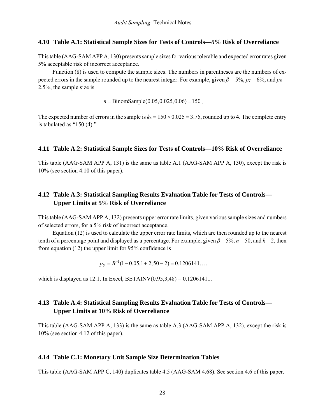#### **4.10 Table A.1: Statistical Sample Sizes for Tests of Controls—5% Risk of Overreliance**

This table (AAG-SAM APP A, 130) presents sample sizes for various tolerable and expected error rates given 5% acceptable risk of incorrect acceptance.

 Function (8) is used to compute the sample sizes. The numbers in parentheses are the numbers of expected errors in the sample rounded up to the nearest integer. For example, given  $\beta$  = 5%,  $p_T$  = 6%, and  $p_F$  = 2.5%, the sample size is

 $n = \text{BinomSample}(0.05, 0.025, 0.06) = 150$ .

The expected number of errors in the sample is  $k_E = 150 \times 0.025 = 3.75$ , rounded up to 4. The complete entry is tabulated as "150 (4)."

#### **4.11 Table A.2: Statistical Sample Sizes for Tests of Controls—10% Risk of Overreliance**

This table (AAG-SAM APP A, 131) is the same as table A.1 (AAG-SAM APP A, 130), except the risk is 10% (see section 4.10 of this paper).

# **4.12 Table A.3: Statistical Sampling Results Evaluation Table for Tests of Controls— Upper Limits at 5% Risk of Overreliance**

This table (AAG-SAM APP A, 132) presents upper error rate limits, given various sample sizes and numbers of selected errors, for a 5% risk of incorrect acceptance.

 Equation (12) is used to calculate the upper error rate limits, which are then rounded up to the nearest tenth of a percentage point and displayed as a percentage. For example, given  $\beta = 5\%$ ,  $n = 50$ , and  $k = 2$ , then from equation (12) the upper limit for 95% confidence is

 $p_U = B^{-1}(1 - 0.05, 1 + 2, 50 - 2) = 0.1206141...$ 

which is displayed as 12.1. In Excel, BETAINV $(0.95, 3.48) = 0.1206141...$ 

# **4.13 Table A.4: Statistical Sampling Results Evaluation Table for Tests of Controls— Upper Limits at 10% Risk of Overreliance**

This table (AAG-SAM APP A, 133) is the same as table A.3 (AAG-SAM APP A, 132), except the risk is 10% (see section 4.12 of this paper).

#### **4.14 Table C.1: Monetary Unit Sample Size Determination Tables**

This table (AAG-SAM APP C, 140) duplicates table 4.5 (AAG-SAM 4.68). See section 4.6 of this paper.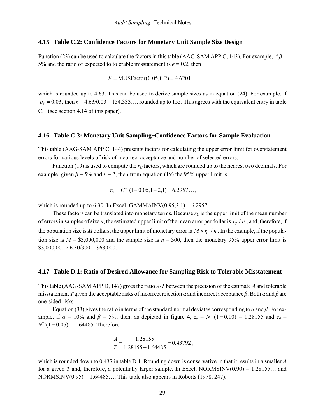#### **4.15 Table C.2: Confidence Factors for Monetary Unit Sample Size Design**

Function (23) can be used to calculate the factors in this table (AAG-SAM APP C, 143). For example, if *β* = 5% and the ratio of expected to tolerable misstatement is  $e = 0.2$ , then

$$
F = \text{MUSFactor}(0.05, 0.2) = 4.6201\dots,
$$

which is rounded up to 4.63. This can be used to derive sample sizes as in equation (24). For example, if  $p_T = 0.03$ , then  $n = 4.63/0.03 = 154.333...$ , rounded up to 155. This agrees with the equivalent entry in table C.1 (see section 4.14 of this paper).

#### **4.16 Table C.3: Monetary Unit Sampling**—**Confidence Factors for Sample Evaluation**

This table (AAG-SAM APP C, 144) presents factors for calculating the upper error limit for overstatement errors for various levels of risk of incorrect acceptance and number of selected errors.

Function (19) is used to compute the  $r_U$  factors, which are rounded up to the nearest two decimals. For example, given  $\beta$  = 5% and  $k$  = 2, then from equation (19) the 95% upper limit is

$$
r_U = G^{-1}(1 - 0.05, 1 + 2, 1) = 6.2957\dots,
$$

which is rounded up to 6.30. In Excel, GAMMAINV $(0.95,3,1) = 6.2957...$ 

These factors can be translated into monetary terms. Because  $r_U$  is the upper limit of the mean number of errors in samples of size *n*, the estimated upper limit of the mean error per dollar is  $r_U / n$ ; and, therefore, if the population size is *M* dollars, the upper limit of monetary error is  $M \times r_U/n$ . In the example, if the population size is  $M = $3,000,000$  and the sample size is  $n = 300$ , then the monetary 95% upper error limit is  $$3,000,000 \times 6.30/300 = $63,000.$ 

#### **4.17 Table D.1: Ratio of Desired Allowance for Sampling Risk to Tolerable Misstatement**

This table (AAG-SAM APP D, 147) gives the ratio *A*/*T* between the precision of the estimate *A* and tolerable misstatement *T* given the acceptable risks of incorrect rejection *α* and incorrect acceptance *β*. Both *α* and *β* are one-sided risks.

 Equation (33) gives the ratio in terms of the standard normal deviates corresponding to *α* and *β*. For example, if  $\alpha = 10\%$  and  $\beta = 5\%$ , then, as depicted in figure 4,  $z_{\alpha} = N^{-1}(1-0.10) = 1.28155$  and  $z_{\beta} =$  $N^{-1}(1 - 0.05) = 1.64485$ . Therefore

$$
\frac{A}{T} = \frac{1.28155}{1.28155 + 1.64485} = 0.43792,
$$

which is rounded down to 0.437 in table D.1. Rounding down is conservative in that it results in a smaller *A* for a given *T* and, therefore, a potentially larger sample. In Excel, NORMSINV(0.90) = 1.28155… and NORMSINV $(0.95) = 1.64485...$  This table also appears in Roberts (1978, 247).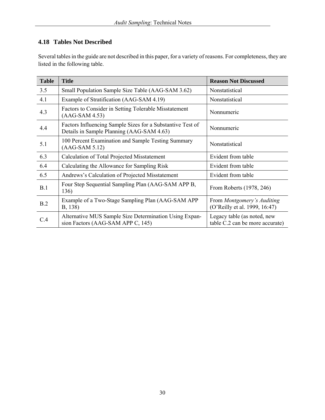# **4.18 Tables Not Described**

Several tables in the guide are not described in this paper, for a variety of reasons. For completeness, they are listed in the following table.

| <b>Table</b> | <b>Title</b>                                                                                            | <b>Reason Not Discussed</b>                                    |
|--------------|---------------------------------------------------------------------------------------------------------|----------------------------------------------------------------|
| 3.5          | Small Population Sample Size Table (AAG-SAM 3.62)                                                       | Nonstatistical                                                 |
| 4.1          | Example of Stratification (AAG-SAM 4.19)                                                                | Nonstatistical                                                 |
| 4.3          | Factors to Consider in Setting Tolerable Misstatement<br>$(AAG-SAM 4.53)$                               | Nonnumeric                                                     |
| 4.4          | Factors Influencing Sample Sizes for a Substantive Test of<br>Details in Sample Planning (AAG-SAM 4.63) | Nonnumeric                                                     |
| 5.1          | 100 Percent Examination and Sample Testing Summary<br>$(AAG-SAM 5.12)$                                  | Nonstatistical                                                 |
| 6.3          | Calculation of Total Projected Misstatement                                                             | Evident from table                                             |
| 6.4          | Calculating the Allowance for Sampling Risk                                                             | Evident from table                                             |
| 6.5          | Andrews's Calculation of Projected Misstatement                                                         | Evident from table                                             |
| B.1          | Four Step Sequential Sampling Plan (AAG-SAM APP B,<br>136)                                              | From Roberts (1978, 246)                                       |
| B.2          | Example of a Two-Stage Sampling Plan (AAG-SAM APP)<br>B, 138)                                           | From Montgomery's Auditing<br>(O'Reilly et al. 1999, 16:47)    |
| C.4          | Alternative MUS Sample Size Determination Using Expan-<br>sion Factors (AAG-SAM APP C, 145)             | Legacy table (as noted, new<br>table C.2 can be more accurate) |